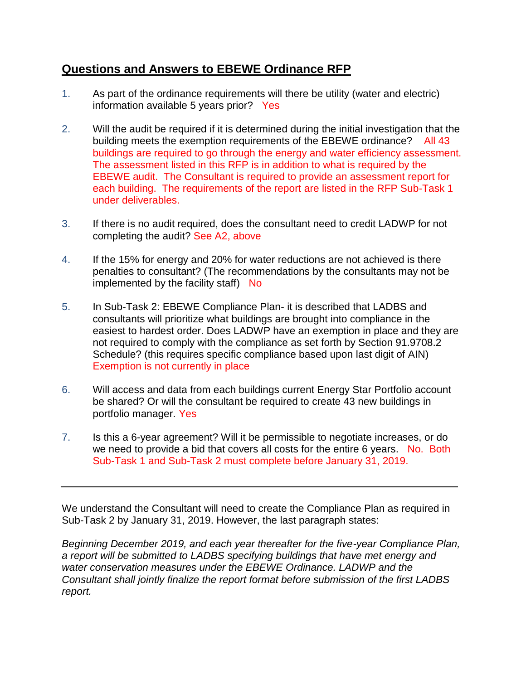## **Questions and Answers to EBEWE Ordinance RFP**

- 1. As part of the ordinance requirements will there be utility (water and electric) information available 5 years prior? Yes
- 2. Will the audit be required if it is determined during the initial investigation that the building meets the exemption requirements of the EBEWE ordinance? All 43 buildings are required to go through the energy and water efficiency assessment. The assessment listed in this RFP is in addition to what is required by the EBEWE audit. The Consultant is required to provide an assessment report for each building. The requirements of the report are listed in the RFP Sub-Task 1 under deliverables.
- 3. If there is no audit required, does the consultant need to credit LADWP for not completing the audit? See A2, above
- 4. If the 15% for energy and 20% for water reductions are not achieved is there penalties to consultant? (The recommendations by the consultants may not be implemented by the facility staff)  $\overline{N}$
- 5. In Sub-Task 2: EBEWE Compliance Plan- it is described that LADBS and consultants will prioritize what buildings are brought into compliance in the easiest to hardest order. Does LADWP have an exemption in place and they are not required to comply with the compliance as set forth by Section 91.9708.2 Schedule? (this requires specific compliance based upon last digit of AIN) Exemption is not currently in place
- 6. Will access and data from each buildings current Energy Star Portfolio account be shared? Or will the consultant be required to create 43 new buildings in portfolio manager. Yes
- 7. Is this a 6-year agreement? Will it be permissible to negotiate increases, or do we need to provide a bid that covers all costs for the entire 6 years. No. Both Sub-Task 1 and Sub-Task 2 must complete before January 31, 2019.

We understand the Consultant will need to create the Compliance Plan as required in Sub-Task 2 by January 31, 2019. However, the last paragraph states:

*Beginning December 2019, and each year thereafter for the five-year Compliance Plan, a report will be submitted to LADBS specifying buildings that have met energy and water conservation measures under the EBEWE Ordinance. LADWP and the Consultant shall jointly finalize the report format before submission of the first LADBS report.*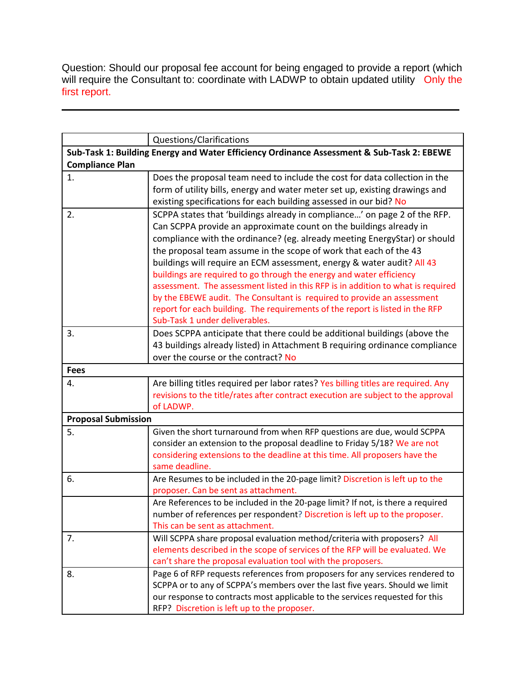Question: Should our proposal fee account for being engaged to provide a report (which will require the Consultant to: coordinate with LADWP to obtain updated utility Only the first report.

|                            | Questions/Clarifications                                                                       |
|----------------------------|------------------------------------------------------------------------------------------------|
|                            | Sub-Task 1: Building Energy and Water Efficiency Ordinance Assessment & Sub-Task 2: EBEWE      |
| <b>Compliance Plan</b>     |                                                                                                |
| 1.                         | Does the proposal team need to include the cost for data collection in the                     |
|                            | form of utility bills, energy and water meter set up, existing drawings and                    |
|                            | existing specifications for each building assessed in our bid? No                              |
| 2.                         | SCPPA states that 'buildings already in compliance' on page 2 of the RFP.                      |
|                            | Can SCPPA provide an approximate count on the buildings already in                             |
|                            | compliance with the ordinance? (eg. already meeting EnergyStar) or should                      |
|                            | the proposal team assume in the scope of work that each of the 43                              |
|                            | buildings will require an ECM assessment, energy & water audit? All 43                         |
|                            | buildings are required to go through the energy and water efficiency                           |
|                            | assessment. The assessment listed in this RFP is in addition to what is required               |
|                            | by the EBEWE audit. The Consultant is required to provide an assessment                        |
|                            | report for each building. The requirements of the report is listed in the RFP                  |
|                            | Sub-Task 1 under deliverables.                                                                 |
| 3.                         | Does SCPPA anticipate that there could be additional buildings (above the                      |
|                            | 43 buildings already listed) in Attachment B requiring ordinance compliance                    |
|                            | over the course or the contract? No                                                            |
| <b>Fees</b>                |                                                                                                |
| 4.                         | Are billing titles required per labor rates? Yes billing titles are required. Any              |
|                            | revisions to the title/rates after contract execution are subject to the approval<br>of LADWP. |
| <b>Proposal Submission</b> |                                                                                                |
| 5.                         | Given the short turnaround from when RFP questions are due, would SCPPA                        |
|                            | consider an extension to the proposal deadline to Friday 5/18? We are not                      |
|                            | considering extensions to the deadline at this time. All proposers have the                    |
|                            | same deadline.                                                                                 |
| 6.                         | Are Resumes to be included in the 20-page limit? Discretion is left up to the                  |
|                            | proposer. Can be sent as attachment.                                                           |
|                            | Are References to be included in the 20-page limit? If not, is there a required                |
|                            | number of references per respondent? Discretion is left up to the proposer.                    |
|                            | This can be sent as attachment.                                                                |
| 7.                         | Will SCPPA share proposal evaluation method/criteria with proposers? All                       |
|                            | elements described in the scope of services of the RFP will be evaluated. We                   |
|                            | can't share the proposal evaluation tool with the proposers.                                   |
| 8.                         | Page 6 of RFP requests references from proposers for any services rendered to                  |
|                            | SCPPA or to any of SCPPA's members over the last five years. Should we limit                   |
|                            | our response to contracts most applicable to the services requested for this                   |
|                            | RFP? Discretion is left up to the proposer.                                                    |